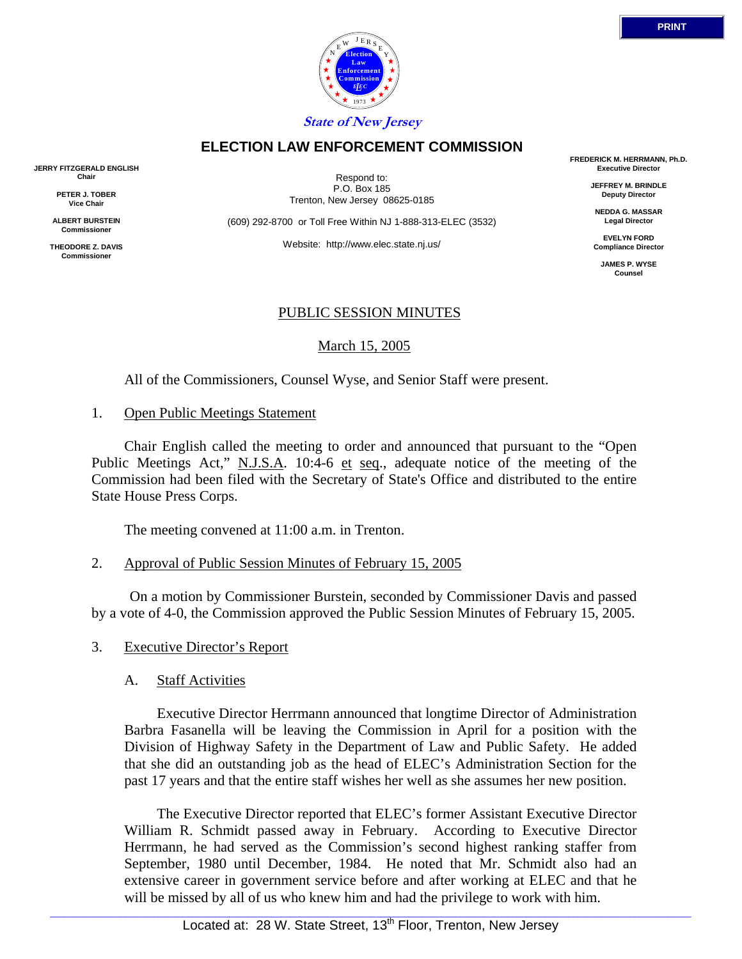

**State of New Jersey**

### **ELECTION LAW ENFORCEMENT COMMISSION**

Respond to: P.O. Box 185 Trenton, New Jersey 08625-0185

(609) 292-8700 or Toll Free Within NJ 1-888-313-ELEC (3532)

Website: http://www.elec.state.nj.us/

#### PUBLIC SESSION MINUTES

March 15, 2005

All of the Commissioners, Counsel Wyse, and Senior Staff were present.

1. Open Public Meetings Statement

 Chair English called the meeting to order and announced that pursuant to the "Open Public Meetings Act," N.J.S.A. 10:4-6 et seq., adequate notice of the meeting of the Commission had been filed with the Secretary of State's Office and distributed to the entire State House Press Corps.

The meeting convened at 11:00 a.m. in Trenton.

2. Approval of Public Session Minutes of February 15, 2005

 On a motion by Commissioner Burstein, seconded by Commissioner Davis and passed by a vote of 4-0, the Commission approved the Public Session Minutes of February 15, 2005.

- 3. Executive Director's Report
	- A. Staff Activities

 Executive Director Herrmann announced that longtime Director of Administration Barbra Fasanella will be leaving the Commission in April for a position with the Division of Highway Safety in the Department of Law and Public Safety. He added that she did an outstanding job as the head of ELEC's Administration Section for the past 17 years and that the entire staff wishes her well as she assumes her new position.

 The Executive Director reported that ELEC's former Assistant Executive Director William R. Schmidt passed away in February. According to Executive Director Herrmann, he had served as the Commission's second highest ranking staffer from September, 1980 until December, 1984. He noted that Mr. Schmidt also had an extensive career in government service before and after working at ELEC and that he will be missed by all of us who knew him and had the privilege to work with him.

**FREDERICK M. HERRMANN, Ph.D. Executive Director**

> **JEFFREY M. BRINDLE Deputy Director**

**NEDDA G. MASSAR Legal Director**

**EVELYN FORD Compliance Director**

> **JAMES P. WYSE Counsel**



**JERRY FITZGERALD ENGLISH**

**Chair PETER J. TOBER Vice Chair**

**ALBERT BURSTEIN Commissioner**

**THEODORE Z. DAVIS Commissione**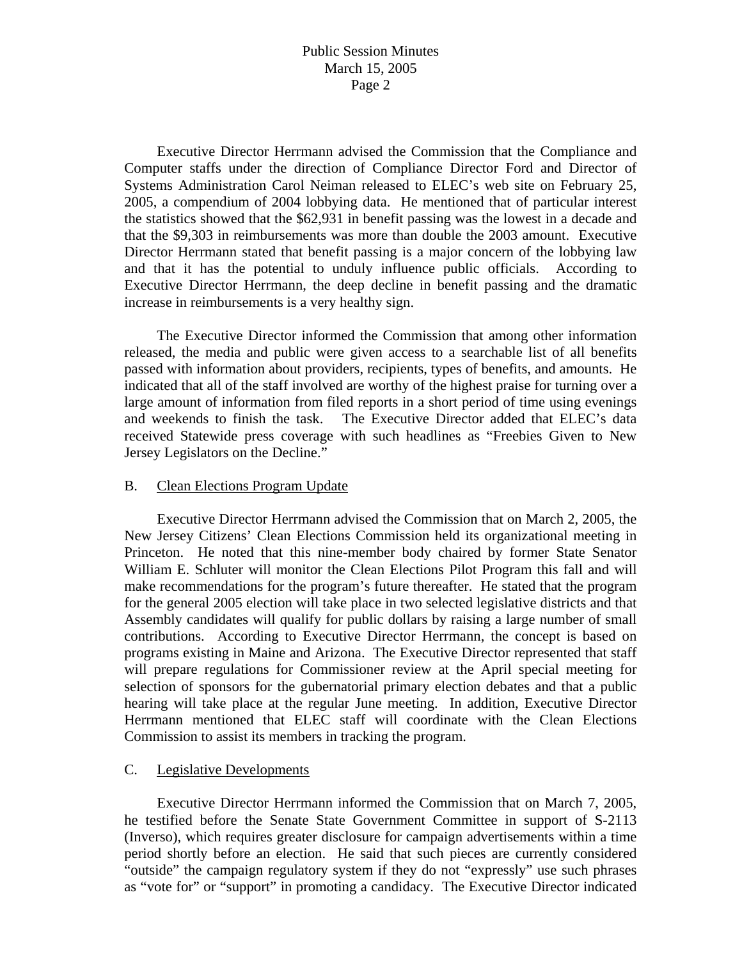Executive Director Herrmann advised the Commission that the Compliance and Computer staffs under the direction of Compliance Director Ford and Director of Systems Administration Carol Neiman released to ELEC's web site on February 25, 2005, a compendium of 2004 lobbying data. He mentioned that of particular interest the statistics showed that the \$62,931 in benefit passing was the lowest in a decade and that the \$9,303 in reimbursements was more than double the 2003 amount. Executive Director Herrmann stated that benefit passing is a major concern of the lobbying law and that it has the potential to unduly influence public officials. According to Executive Director Herrmann, the deep decline in benefit passing and the dramatic increase in reimbursements is a very healthy sign.

 The Executive Director informed the Commission that among other information released, the media and public were given access to a searchable list of all benefits passed with information about providers, recipients, types of benefits, and amounts. He indicated that all of the staff involved are worthy of the highest praise for turning over a large amount of information from filed reports in a short period of time using evenings and weekends to finish the task. The Executive Director added that ELEC's data received Statewide press coverage with such headlines as "Freebies Given to New Jersey Legislators on the Decline."

### B. Clean Elections Program Update

 Executive Director Herrmann advised the Commission that on March 2, 2005, the New Jersey Citizens' Clean Elections Commission held its organizational meeting in Princeton. He noted that this nine-member body chaired by former State Senator William E. Schluter will monitor the Clean Elections Pilot Program this fall and will make recommendations for the program's future thereafter. He stated that the program for the general 2005 election will take place in two selected legislative districts and that Assembly candidates will qualify for public dollars by raising a large number of small contributions. According to Executive Director Herrmann, the concept is based on programs existing in Maine and Arizona. The Executive Director represented that staff will prepare regulations for Commissioner review at the April special meeting for selection of sponsors for the gubernatorial primary election debates and that a public hearing will take place at the regular June meeting. In addition, Executive Director Herrmann mentioned that ELEC staff will coordinate with the Clean Elections Commission to assist its members in tracking the program.

## C. Legislative Developments

 Executive Director Herrmann informed the Commission that on March 7, 2005, he testified before the Senate State Government Committee in support of S-2113 (Inverso), which requires greater disclosure for campaign advertisements within a time period shortly before an election. He said that such pieces are currently considered "outside" the campaign regulatory system if they do not "expressly" use such phrases as "vote for" or "support" in promoting a candidacy. The Executive Director indicated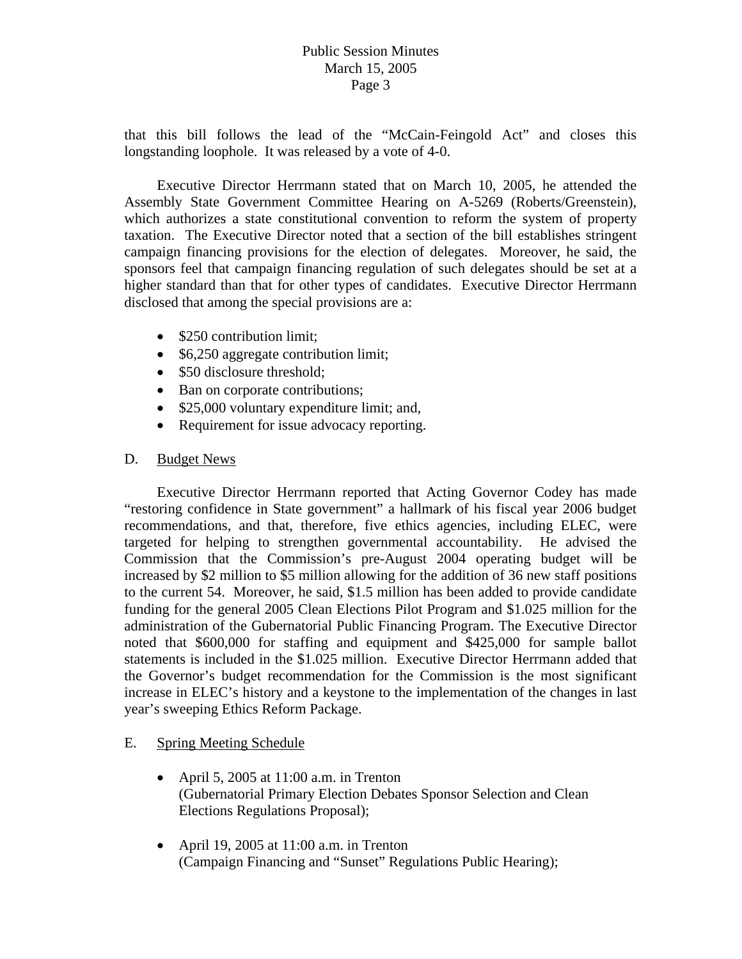that this bill follows the lead of the "McCain-Feingold Act" and closes this longstanding loophole. It was released by a vote of 4-0.

 Executive Director Herrmann stated that on March 10, 2005, he attended the Assembly State Government Committee Hearing on A-5269 (Roberts/Greenstein), which authorizes a state constitutional convention to reform the system of property taxation. The Executive Director noted that a section of the bill establishes stringent campaign financing provisions for the election of delegates. Moreover, he said, the sponsors feel that campaign financing regulation of such delegates should be set at a higher standard than that for other types of candidates. Executive Director Herrmann disclosed that among the special provisions are a:

- \$250 contribution limit:
- \$6,250 aggregate contribution limit;
- \$50 disclosure threshold;
- Ban on corporate contributions;
- \$25,000 voluntary expenditure limit; and,
- Requirement for issue advocacy reporting.

## D. Budget News

 Executive Director Herrmann reported that Acting Governor Codey has made "restoring confidence in State government" a hallmark of his fiscal year 2006 budget recommendations, and that, therefore, five ethics agencies, including ELEC, were targeted for helping to strengthen governmental accountability. He advised the Commission that the Commission's pre-August 2004 operating budget will be increased by \$2 million to \$5 million allowing for the addition of 36 new staff positions to the current 54. Moreover, he said, \$1.5 million has been added to provide candidate funding for the general 2005 Clean Elections Pilot Program and \$1.025 million for the administration of the Gubernatorial Public Financing Program. The Executive Director noted that \$600,000 for staffing and equipment and \$425,000 for sample ballot statements is included in the \$1.025 million. Executive Director Herrmann added that the Governor's budget recommendation for the Commission is the most significant increase in ELEC's history and a keystone to the implementation of the changes in last year's sweeping Ethics Reform Package.

## E. Spring Meeting Schedule

- April 5, 2005 at 11:00 a.m. in Trenton (Gubernatorial Primary Election Debates Sponsor Selection and Clean Elections Regulations Proposal);
- April 19, 2005 at 11:00 a.m. in Trenton (Campaign Financing and "Sunset" Regulations Public Hearing);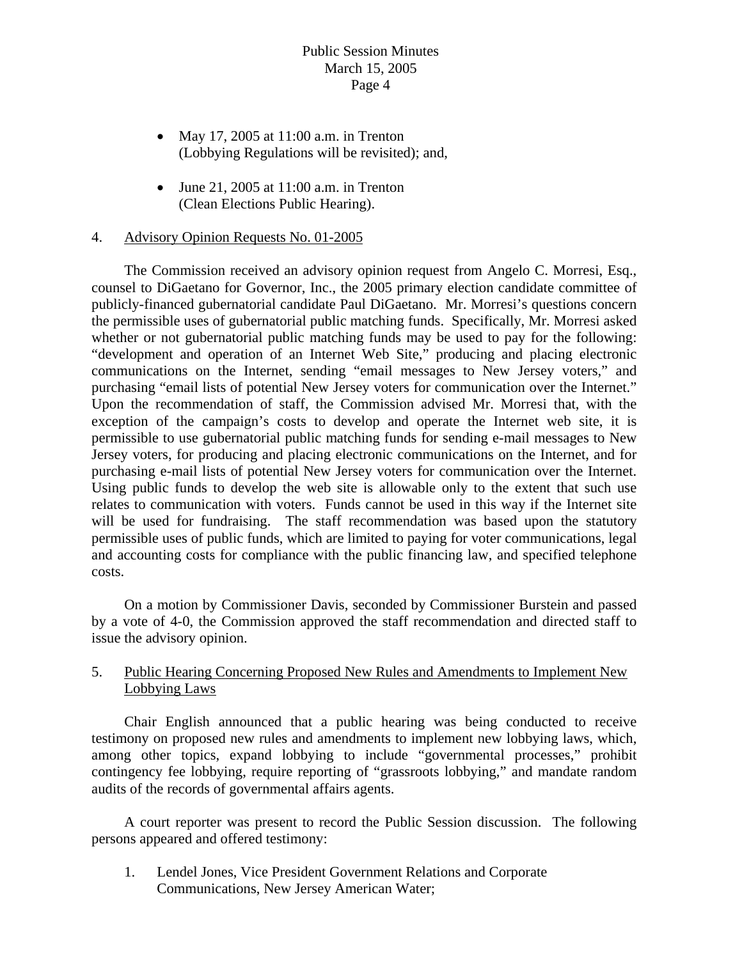- May 17, 2005 at 11:00 a.m. in Trenton (Lobbying Regulations will be revisited); and,
- June 21, 2005 at  $11:00$  a.m. in Trenton (Clean Elections Public Hearing).

### 4. Advisory Opinion Requests No. 01-2005

 The Commission received an advisory opinion request from Angelo C. Morresi, Esq., counsel to DiGaetano for Governor, Inc., the 2005 primary election candidate committee of publicly-financed gubernatorial candidate Paul DiGaetano. Mr. Morresi's questions concern the permissible uses of gubernatorial public matching funds. Specifically, Mr. Morresi asked whether or not gubernatorial public matching funds may be used to pay for the following: "development and operation of an Internet Web Site," producing and placing electronic communications on the Internet, sending "email messages to New Jersey voters," and purchasing "email lists of potential New Jersey voters for communication over the Internet." Upon the recommendation of staff, the Commission advised Mr. Morresi that, with the exception of the campaign's costs to develop and operate the Internet web site, it is permissible to use gubernatorial public matching funds for sending e-mail messages to New Jersey voters, for producing and placing electronic communications on the Internet, and for purchasing e-mail lists of potential New Jersey voters for communication over the Internet. Using public funds to develop the web site is allowable only to the extent that such use relates to communication with voters. Funds cannot be used in this way if the Internet site will be used for fundraising. The staff recommendation was based upon the statutory permissible uses of public funds, which are limited to paying for voter communications, legal and accounting costs for compliance with the public financing law, and specified telephone costs.

 On a motion by Commissioner Davis, seconded by Commissioner Burstein and passed by a vote of 4-0, the Commission approved the staff recommendation and directed staff to issue the advisory opinion.

## 5. Public Hearing Concerning Proposed New Rules and Amendments to Implement New Lobbying Laws

 Chair English announced that a public hearing was being conducted to receive testimony on proposed new rules and amendments to implement new lobbying laws, which, among other topics, expand lobbying to include "governmental processes," prohibit contingency fee lobbying, require reporting of "grassroots lobbying," and mandate random audits of the records of governmental affairs agents.

 A court reporter was present to record the Public Session discussion. The following persons appeared and offered testimony:

1. Lendel Jones, Vice President Government Relations and Corporate Communications, New Jersey American Water;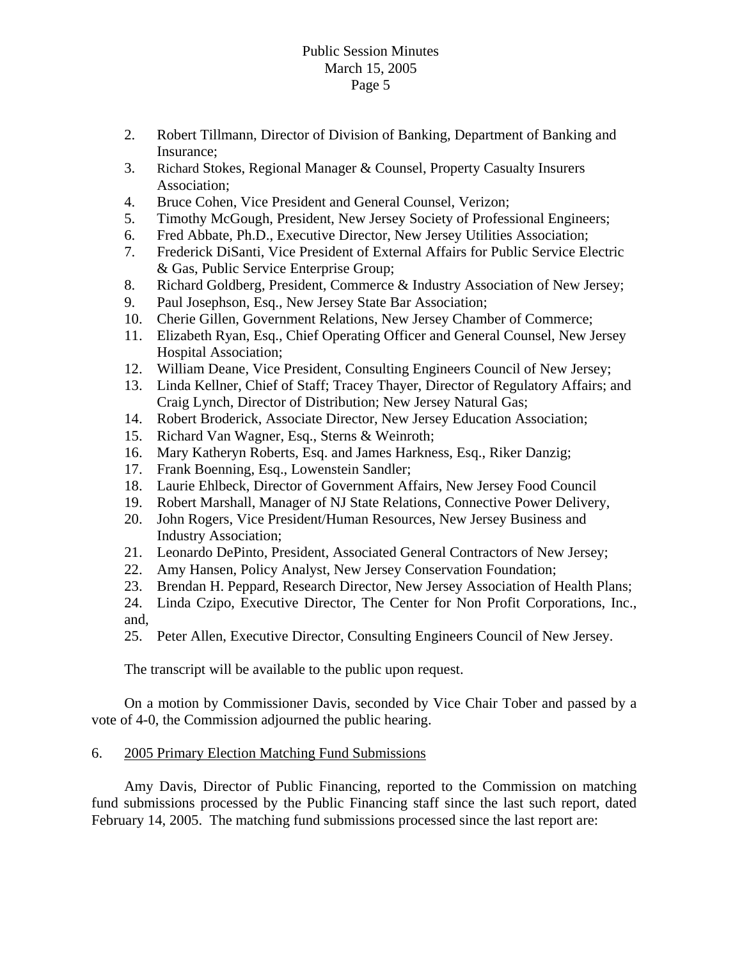- 2. Robert Tillmann, Director of Division of Banking, Department of Banking and Insurance;
- 3. Richard Stokes, Regional Manager & Counsel, Property Casualty Insurers Association;
- 4. Bruce Cohen, Vice President and General Counsel, Verizon;
- 5. Timothy McGough, President, New Jersey Society of Professional Engineers;
- 6. Fred Abbate, Ph.D., Executive Director, New Jersey Utilities Association;
- 7. Frederick DiSanti, Vice President of External Affairs for Public Service Electric & Gas, Public Service Enterprise Group;
- 8. Richard Goldberg, President, Commerce & Industry Association of New Jersey;
- 9. Paul Josephson, Esq., New Jersey State Bar Association;
- 10. Cherie Gillen, Government Relations, New Jersey Chamber of Commerce;
- 11. Elizabeth Ryan, Esq., Chief Operating Officer and General Counsel, New Jersey Hospital Association;
- 12. William Deane, Vice President, Consulting Engineers Council of New Jersey;
- 13. Linda Kellner, Chief of Staff; Tracey Thayer, Director of Regulatory Affairs; and Craig Lynch, Director of Distribution; New Jersey Natural Gas;
- 14. Robert Broderick, Associate Director, New Jersey Education Association;
- 15. Richard Van Wagner, Esq., Sterns & Weinroth;
- 16. Mary Katheryn Roberts, Esq. and James Harkness, Esq., Riker Danzig;
- 17. Frank Boenning, Esq., Lowenstein Sandler;
- 18. Laurie Ehlbeck, Director of Government Affairs, New Jersey Food Council
- 19. Robert Marshall, Manager of NJ State Relations, Connective Power Delivery,
- 20. John Rogers, Vice President/Human Resources, New Jersey Business and Industry Association;
- 21. Leonardo DePinto, President, Associated General Contractors of New Jersey;
- 22. Amy Hansen, Policy Analyst, New Jersey Conservation Foundation;
- 23. Brendan H. Peppard, Research Director, New Jersey Association of Health Plans;
- 24. Linda Czipo, Executive Director, The Center for Non Profit Corporations, Inc., and,
- 25. Peter Allen, Executive Director, Consulting Engineers Council of New Jersey.

The transcript will be available to the public upon request.

 On a motion by Commissioner Davis, seconded by Vice Chair Tober and passed by a vote of 4-0, the Commission adjourned the public hearing.

## 6. 2005 Primary Election Matching Fund Submissions

 Amy Davis, Director of Public Financing, reported to the Commission on matching fund submissions processed by the Public Financing staff since the last such report, dated February 14, 2005. The matching fund submissions processed since the last report are: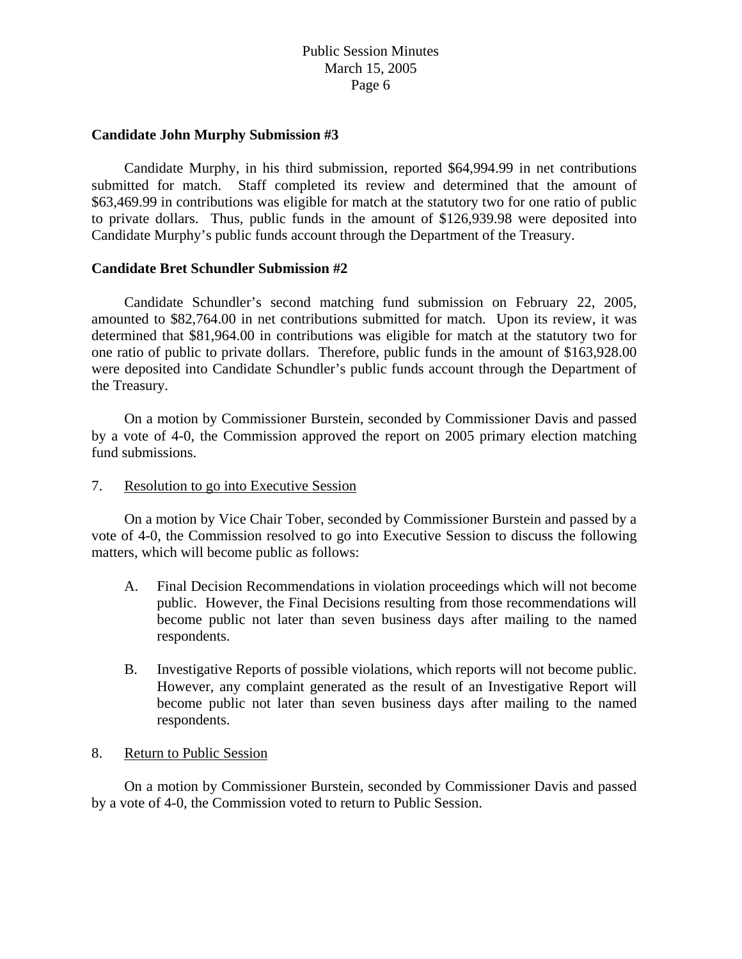#### **Candidate John Murphy Submission #3**

 Candidate Murphy, in his third submission, reported \$64,994.99 in net contributions submitted for match. Staff completed its review and determined that the amount of \$63,469.99 in contributions was eligible for match at the statutory two for one ratio of public to private dollars. Thus, public funds in the amount of \$126,939.98 were deposited into Candidate Murphy's public funds account through the Department of the Treasury.

#### **Candidate Bret Schundler Submission #2**

 Candidate Schundler's second matching fund submission on February 22, 2005, amounted to \$82,764.00 in net contributions submitted for match. Upon its review, it was determined that \$81,964.00 in contributions was eligible for match at the statutory two for one ratio of public to private dollars. Therefore, public funds in the amount of \$163,928.00 were deposited into Candidate Schundler's public funds account through the Department of the Treasury.

 On a motion by Commissioner Burstein, seconded by Commissioner Davis and passed by a vote of 4-0, the Commission approved the report on 2005 primary election matching fund submissions.

#### 7. Resolution to go into Executive Session

 On a motion by Vice Chair Tober, seconded by Commissioner Burstein and passed by a vote of 4-0, the Commission resolved to go into Executive Session to discuss the following matters, which will become public as follows:

- A. Final Decision Recommendations in violation proceedings which will not become public. However, the Final Decisions resulting from those recommendations will become public not later than seven business days after mailing to the named respondents.
- B. Investigative Reports of possible violations, which reports will not become public. However, any complaint generated as the result of an Investigative Report will become public not later than seven business days after mailing to the named respondents.

#### 8. Return to Public Session

On a motion by Commissioner Burstein, seconded by Commissioner Davis and passed by a vote of 4-0, the Commission voted to return to Public Session.